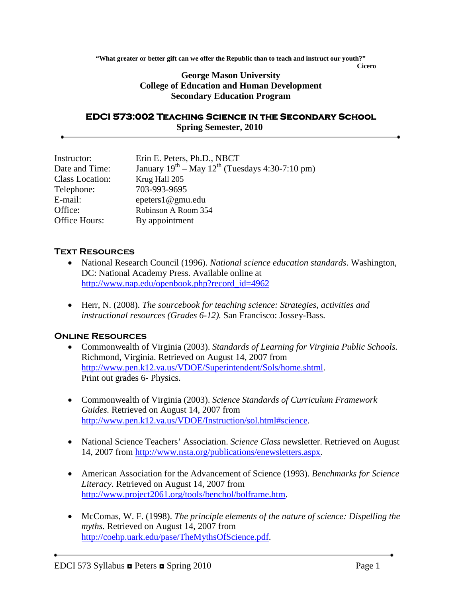**"What greater or better gift can we offer the Republic than to teach and instruct our youth?"**

**Cicero**

### **George Mason University College of Education and Human Development Secondary Education Program**

#### **EDCI 573:002 Teaching Science in the Secondary School Spring Semester, 2010**

| Instructor:            | Erin E. Peters, Ph.D., NBCT                               |
|------------------------|-----------------------------------------------------------|
| Date and Time:         | January $19^{th}$ – May $12^{th}$ (Tuesdays 4:30-7:10 pm) |
| <b>Class Location:</b> | Krug Hall 205                                             |
| Telephone:             | 703-993-9695                                              |
| E-mail:                | epeters1@gmu.edu                                          |
| Office:                | Robinson A Room 354                                       |
| Office Hours:          | By appointment                                            |

### **Text Resources**

- National Research Council (1996). *National science education standards*. Washington, DC: National Academy Press. Available online at [http://www.nap.edu/openbook.php?record\\_id=4962](http://www.nap.edu/openbook.php?record_id=4962)
- Herr, N. (2008). *The sourcebook for teaching science: Strategies, activities and instructional resources (Grades 6-12).* San Francisco: Jossey-Bass.

## **Online Resources**

- Commonwealth of Virginia (2003). *Standards of Learning for Virginia Public Schools.* Richmond, Virginia. Retrieved on August 14, 2007 from [http://www.pen.k12.va.us/VDOE/Superintendent/Sols/home.shtml.](http://www.pen.k12.va.us/VDOE/Superintendent/Sols/home.shtml) Print out grades 6- Physics.
- Commonwealth of Virginia (2003). *Science Standards of Curriculum Framework Guides.* Retrieved on August 14, 2007 from [http://www.pen.k12.va.us/VDOE/Instruction/sol.html#science.](http://www.pen.k12.va.us/VDOE/Instruction/sol.html#science)
- National Science Teachers' Association. *Science Class* newsletter. Retrieved on August 14, 2007 from [http://www.nsta.org/publications/enewsletters.aspx.](http://www.nsta.org/publications/enewsletters.aspx)
- American Association for the Advancement of Science (1993). *Benchmarks for Science Literacy*. Retrieved on August 14, 2007 from [http://www.project2061.org/tools/benchol/bolframe.htm.](http://www.project2061.org/tools/benchol/bolframe.htm)
- McComas, W. F. (1998). *The principle elements of the nature of science: Dispelling the myths.* Retrieved on August 14, 2007 from [http://coehp.uark.edu/pase/TheMythsOfScience.pdf.](http://coehp.uark.edu/pase/TheMythsOfScience.pdf)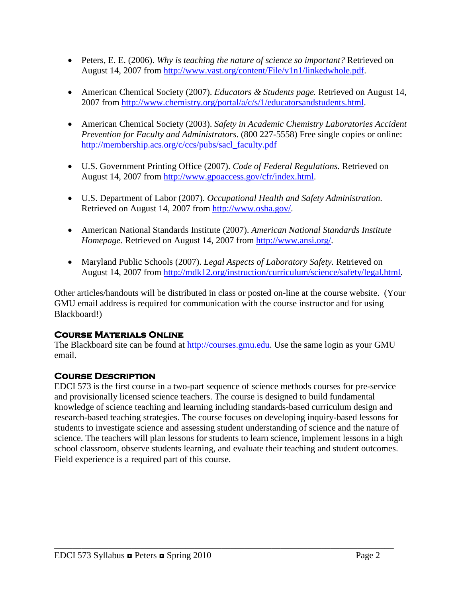- Peters, E. E. (2006). *Why is teaching the nature of science so important?* Retrieved on August 14, 2007 from [http://www.vast.org/content/File/v1n1/linkedwhole.pdf.](http://www.vast.org/content/File/v1n1/linkedwhole.pdf)
- American Chemical Society (2007). *Educators & Students page.* Retrieved on August 14, 2007 from [http://www.chemistry.org/portal/a/c/s/1/educatorsandstudents.html.](http://www.chemistry.org/portal/a/c/s/1/educatorsandstudents.html)
- American Chemical Society (2003). *Safety in Academic Chemistry Laboratories Accident Prevention for Faculty and Administrators*. (800 227-5558) Free single copies or online: [http://membership.acs.org/c/ccs/pubs/sacl\\_faculty.pdf](http://membership.acs.org/c/ccs/pubs/sacl_faculty.pdf)
- U.S. Government Printing Office (2007). *Code of Federal Regulations.* Retrieved on August 14, 2007 from [http://www.gpoaccess.gov/cfr/index.html.](http://www.gpoaccess.gov/cfr/index.html)
- U.S. Department of Labor (2007). *Occupational Health and Safety Administration.*  Retrieved on August 14, 2007 from [http://www.osha.gov/.](http://www.osha.gov/)
- American National Standards Institute (2007). *American National Standards Institute Homepage.* Retrieved on August 14, 2007 from [http://www.ansi.org/.](http://www.ansi.org/)
- Maryland Public Schools (2007). *Legal Aspects of Laboratory Safety.* Retrieved on August 14, 2007 from [http://mdk12.org/instruction/curriculum/science/safety/legal.html.](http://mdk12.org/instruction/curriculum/science/safety/legal.html)

Other articles/handouts will be distributed in class or posted on-line at the course website. (Your GMU email address is required for communication with the course instructor and for using Blackboard!)

## **Course Materials Online**

The Blackboard site can be found at [http://courses.gmu.edu.](http://courses.gmu.edu/) Use the same login as your GMU email.

# **Course Description**

EDCI 573 is the first course in a two-part sequence of science methods courses for pre-service and provisionally licensed science teachers. The course is designed to build fundamental knowledge of science teaching and learning including standards-based curriculum design and research-based teaching strategies. The course focuses on developing inquiry-based lessons for students to investigate science and assessing student understanding of science and the nature of science. The teachers will plan lessons for students to learn science, implement lessons in a high school classroom, observe students learning, and evaluate their teaching and student outcomes. Field experience is a required part of this course.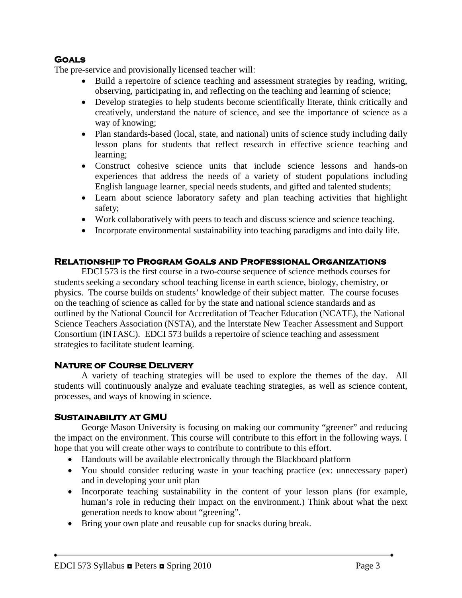# **Goals**

The pre-service and provisionally licensed teacher will:

- Build a repertoire of science teaching and assessment strategies by reading, writing, observing, participating in, and reflecting on the teaching and learning of science;
- Develop strategies to help students become scientifically literate, think critically and creatively, understand the nature of science, and see the importance of science as a way of knowing;
- Plan standards-based (local, state, and national) units of science study including daily lesson plans for students that reflect research in effective science teaching and learning;
- Construct cohesive science units that include science lessons and hands-on experiences that address the needs of a variety of student populations including English language learner, special needs students, and gifted and talented students;
- Learn about science laboratory safety and plan teaching activities that highlight safety;
- Work collaboratively with peers to teach and discuss science and science teaching.
- Incorporate environmental sustainability into teaching paradigms and into daily life.

## **Relationship to Program Goals and Professional Organizations**

EDCI 573 is the first course in a two-course sequence of science methods courses for students seeking a secondary school teaching license in earth science, biology, chemistry, or physics. The course builds on students' knowledge of their subject matter. The course focuses on the teaching of science as called for by the state and national science standards and as outlined by the National Council for Accreditation of Teacher Education (NCATE), the National Science Teachers Association (NSTA), and the Interstate New Teacher Assessment and Support Consortium (INTASC). EDCI 573 builds a repertoire of science teaching and assessment strategies to facilitate student learning.

#### **Nature of Course Delivery**

A variety of teaching strategies will be used to explore the themes of the day. All students will continuously analyze and evaluate teaching strategies, as well as science content, processes, and ways of knowing in science.

#### **Sustainability at GMU**

George Mason University is focusing on making our community "greener" and reducing the impact on the environment. This course will contribute to this effort in the following ways. I hope that you will create other ways to contribute to contribute to this effort.

- Handouts will be available electronically through the Blackboard platform
- You should consider reducing waste in your teaching practice (ex: unnecessary paper) and in developing your unit plan
- Incorporate teaching sustainability in the content of your lesson plans (for example, human's role in reducing their impact on the environment.) Think about what the next generation needs to know about "greening".
- Bring your own plate and reusable cup for snacks during break.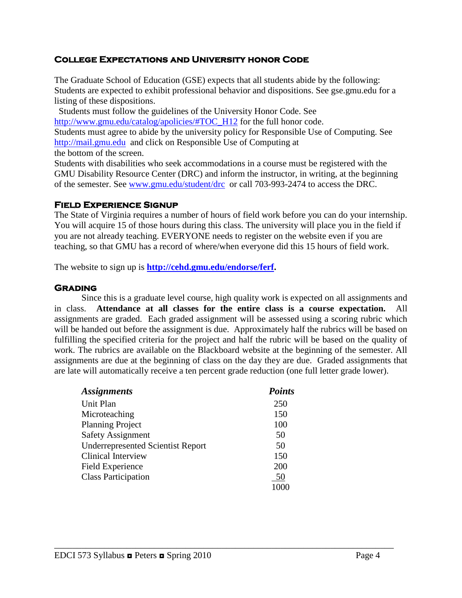### **College Expectations and University honor Code**

The Graduate School of Education (GSE) expects that all students abide by the following: Students are expected to exhibit professional behavior and dispositions. See gse.gmu.edu for a listing of these dispositions.

 Students must follow the guidelines of the University Honor Code. See [http://www.gmu.edu/catalog/apolicies/#TOC\\_H12](http://www.gmu.edu/catalog/apolicies/#TOC_H12) for the full honor code. Students must agree to abide by the university policy for Responsible Use of Computing. See [http://mail.gmu.edu](http://mail.gmu.edu/) and click on Responsible Use of Computing at the bottom of the screen.

Students with disabilities who seek accommodations in a course must be registered with the GMU Disability Resource Center (DRC) and inform the instructor, in writing, at the beginning of the semester. See [www.gmu.edu/student/drc](http://www.gmu.edu/student/drc) or call 703-993-2474 to access the DRC.

#### **Field Experience Signup**

The State of Virginia requires a number of hours of field work before you can do your internship. You will acquire 15 of those hours during this class. The university will place you in the field if you are not already teaching. EVERYONE needs to register on the website even if you are teaching, so that GMU has a record of where/when everyone did this 15 hours of field work.

The website to sign up is **[http://cehd.gmu.edu/endorse/ferf.](http://cehd.gmu.edu/endorse/ferf)**

#### **Grading**

Since this is a graduate level course, high quality work is expected on all assignments and in class. **Attendance at all classes for the entire class is a course expectation.** All assignments are graded. Each graded assignment will be assessed using a scoring rubric which will be handed out before the assignment is due. Approximately half the rubrics will be based on fulfilling the specified criteria for the project and half the rubric will be based on the quality of work. The rubrics are available on the Blackboard website at the beginning of the semester. All assignments are due at the beginning of class on the day they are due. Graded assignments that are late will automatically receive a ten percent grade reduction (one full letter grade lower).

| <b>Assignments</b>                       | <b>Points</b> |
|------------------------------------------|---------------|
| Unit Plan                                | 250           |
| Microteaching                            | 150           |
| <b>Planning Project</b>                  | 100           |
| <b>Safety Assignment</b>                 | 50            |
| <b>Underrepresented Scientist Report</b> | 50            |
| <b>Clinical Interview</b>                | 150           |
| <b>Field Experience</b>                  | 200           |
| <b>Class Participation</b>               | 50            |
|                                          | 1000          |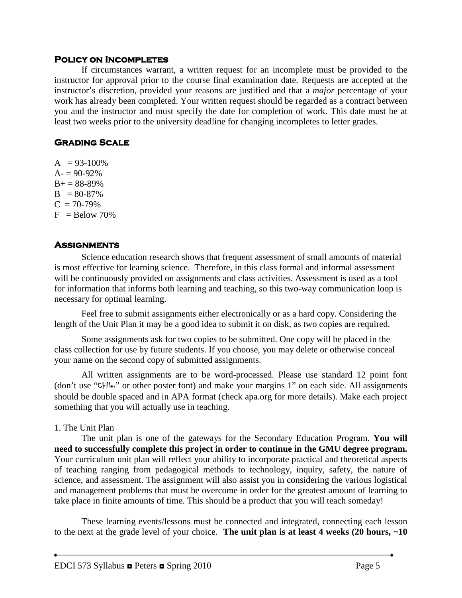#### **Policy on Incompletes**

If circumstances warrant, a written request for an incomplete must be provided to the instructor for approval prior to the course final examination date. Requests are accepted at the instructor's discretion, provided your reasons are justified and that a *major* percentage of your work has already been completed. Your written request should be regarded as a contract between you and the instructor and must specify the date for completion of work. This date must be at least two weeks prior to the university deadline for changing incompletes to letter grades.

### **Grading Scale**

 $A = 93-100\%$  $A = 90-92%$  $B+ = 88-89%$  $B = 80-87\%$  $C = 70-79%$  $F =$ Below 70%

## **Assignments**

Science education research shows that frequent assessment of small amounts of material is most effective for learning science. Therefore, in this class formal and informal assessment will be continuously provided on assignments and class activities. Assessment is used as a tool for information that informs both learning and teaching, so this two-way communication loop is necessary for optimal learning.

Feel free to submit assignments either electronically or as a hard copy. Considering the length of the Unit Plan it may be a good idea to submit it on disk, as two copies are required.

Some assignments ask for two copies to be submitted. One copy will be placed in the class collection for use by future students. If you choose, you may delete or otherwise conceal your name on the second copy of submitted assignments.

All written assignments are to be word-processed. Please use standard 12 point font (don't use "Chiller" or other poster font) and make your margins 1" on each side. All assignments should be double spaced and in APA format (check apa.org for more details). Make each project something that you will actually use in teaching.

#### 1. The Unit Plan

The unit plan is one of the gateways for the Secondary Education Program. **You will need to successfully complete this project in order to continue in the GMU degree program.** Your curriculum unit plan will reflect your ability to incorporate practical and theoretical aspects of teaching ranging from pedagogical methods to technology, inquiry, safety, the nature of science, and assessment. The assignment will also assist you in considering the various logistical and management problems that must be overcome in order for the greatest amount of learning to take place in finite amounts of time. This should be a product that you will teach someday!

These learning events/lessons must be connected and integrated, connecting each lesson to the next at the grade level of your choice. **The unit plan is at least 4 weeks (20 hours, ~10**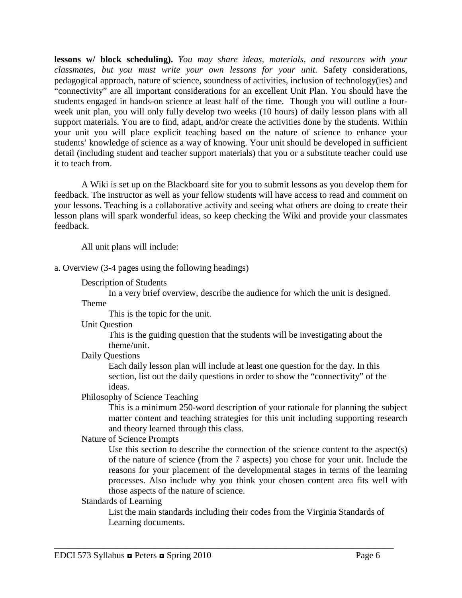**lessons w/ block scheduling).** *You may share ideas, materials, and resources with your classmates, but you must write your own lessons for your unit.* Safety considerations, pedagogical approach, nature of science, soundness of activities, inclusion of technology(ies) and "connectivity" are all important considerations for an excellent Unit Plan. You should have the students engaged in hands-on science at least half of the time. Though you will outline a fourweek unit plan, you will only fully develop two weeks (10 hours) of daily lesson plans with all support materials. You are to find, adapt, and/or create the activities done by the students. Within your unit you will place explicit teaching based on the nature of science to enhance your students' knowledge of science as a way of knowing. Your unit should be developed in sufficient detail (including student and teacher support materials) that you or a substitute teacher could use it to teach from.

A Wiki is set up on the Blackboard site for you to submit lessons as you develop them for feedback. The instructor as well as your fellow students will have access to read and comment on your lessons. Teaching is a collaborative activity and seeing what others are doing to create their lesson plans will spark wonderful ideas, so keep checking the Wiki and provide your classmates feedback.

All unit plans will include:

a. Overview (3-4 pages using the following headings)

Description of Students

In a very brief overview, describe the audience for which the unit is designed.

Theme

This is the topic for the unit.

Unit Question

This is the guiding question that the students will be investigating about the theme/unit.

Daily Questions

Each daily lesson plan will include at least one question for the day. In this section, list out the daily questions in order to show the "connectivity" of the ideas.

Philosophy of Science Teaching

This is a minimum 250-word description of your rationale for planning the subject matter content and teaching strategies for this unit including supporting research and theory learned through this class.

### Nature of Science Prompts

Use this section to describe the connection of the science content to the aspect(s) of the nature of science (from the 7 aspects) you chose for your unit. Include the reasons for your placement of the developmental stages in terms of the learning processes. Also include why you think your chosen content area fits well with those aspects of the nature of science.

Standards of Learning

List the main standards including their codes from the Virginia Standards of Learning documents.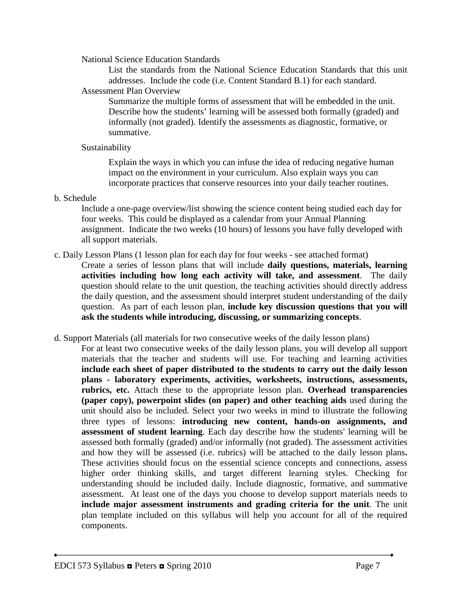National Science Education Standards

List the standards from the National Science Education Standards that this unit addresses. Include the code (i.e. Content Standard B.1) for each standard.

### Assessment Plan Overview

Summarize the multiple forms of assessment that will be embedded in the unit. Describe how the students' learning will be assessed both formally (graded) and informally (not graded). Identify the assessments as diagnostic, formative, or summative.

### Sustainability

Explain the ways in which you can infuse the idea of reducing negative human impact on the environment in your curriculum. Also explain ways you can incorporate practices that conserve resources into your daily teacher routines.

b. Schedule

Include a one-page overview/list showing the science content being studied each day for four weeks. This could be displayed as a calendar from your Annual Planning assignment. Indicate the two weeks (10 hours) of lessons you have fully developed with all support materials.

c. Daily Lesson Plans (1 lesson plan for each day for four weeks - see attached format)

Create a series of lesson plans that will include **daily questions, materials, learning activities including how long each activity will take, and assessment**. The daily question should relate to the unit question, the teaching activities should directly address the daily question, and the assessment should interpret student understanding of the daily question. As part of each lesson plan, **include key discussion questions that you will ask the students while introducing, discussing, or summarizing concepts**.

- d. Support Materials (all materials for two consecutive weeks of the daily lesson plans)
	- For at least two consecutive weeks of the daily lesson plans, you will develop all support materials that the teacher and students will use. For teaching and learning activities **include each sheet of paper distributed to the students to carry out the daily lesson plans - laboratory experiments, activities, worksheets, instructions, assessments, rubrics, etc.** Attach these to the appropriate lesson plan. **Overhead transparencies (paper copy), powerpoint slides (on paper) and other teaching aids** used during the unit should also be included. Select your two weeks in mind to illustrate the following three types of lessons: **introducing new content, hands-on assignments, and assessment of student learning**. Each day describe how the students' learning will be assessed both formally (graded) and/or informally (not graded). The assessment activities and how they will be assessed (i.e. rubrics) will be attached to the daily lesson plans**.**  These activities should focus on the essential science concepts and connections, assess higher order thinking skills, and target different learning styles. Checking for understanding should be included daily. Include diagnostic, formative, and summative assessment. At least one of the days you choose to develop support materials needs to **include major assessment instruments and grading criteria for the unit**. The unit plan template included on this syllabus will help you account for all of the required components.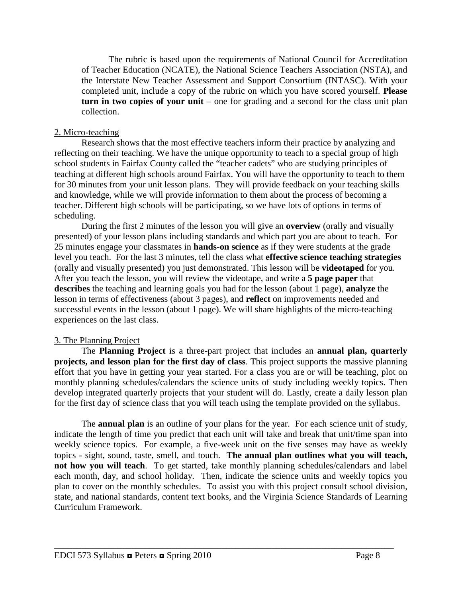The rubric is based upon the requirements of National Council for Accreditation of Teacher Education (NCATE), the National Science Teachers Association (NSTA), and the Interstate New Teacher Assessment and Support Consortium (INTASC). With your completed unit, include a copy of the rubric on which you have scored yourself. **Please turn in two copies of your unit** – one for grading and a second for the class unit plan collection.

#### 2. Micro-teaching

Research shows that the most effective teachers inform their practice by analyzing and reflecting on their teaching. We have the unique opportunity to teach to a special group of high school students in Fairfax County called the "teacher cadets" who are studying principles of teaching at different high schools around Fairfax. You will have the opportunity to teach to them for 30 minutes from your unit lesson plans. They will provide feedback on your teaching skills and knowledge, while we will provide information to them about the process of becoming a teacher. Different high schools will be participating, so we have lots of options in terms of scheduling.

During the first 2 minutes of the lesson you will give an **overview** (orally and visually presented) of your lesson plans including standards and which part you are about to teach. For 25 minutes engage your classmates in **hands-on science** as if they were students at the grade level you teach. For the last 3 minutes, tell the class what **effective science teaching strategies**  (orally and visually presented) you just demonstrated. This lesson will be **videotaped** for you. After you teach the lesson, you will review the videotape, and write a **5 page paper** that **describes** the teaching and learning goals you had for the lesson (about 1 page), **analyze** the lesson in terms of effectiveness (about 3 pages), and **reflect** on improvements needed and successful events in the lesson (about 1 page). We will share highlights of the micro-teaching experiences on the last class.

#### 3. The Planning Project

The **Planning Project** is a three-part project that includes an **annual plan, quarterly projects, and lesson plan for the first day of class**. This project supports the massive planning effort that you have in getting your year started. For a class you are or will be teaching, plot on monthly planning schedules/calendars the science units of study including weekly topics. Then develop integrated quarterly projects that your student will do. Lastly, create a daily lesson plan for the first day of science class that you will teach using the template provided on the syllabus.

The **annual plan** is an outline of your plans for the year. For each science unit of study, indicate the length of time you predict that each unit will take and break that unit/time span into weekly science topics. For example, a five-week unit on the five senses may have as weekly topics - sight, sound, taste, smell, and touch. **The annual plan outlines what you will teach, not how you will teach**. To get started, take monthly planning schedules/calendars and label each month, day, and school holiday. Then, indicate the science units and weekly topics you plan to cover on the monthly schedules. To assist you with this project consult school division, state, and national standards, content text books, and the Virginia Science Standards of Learning Curriculum Framework.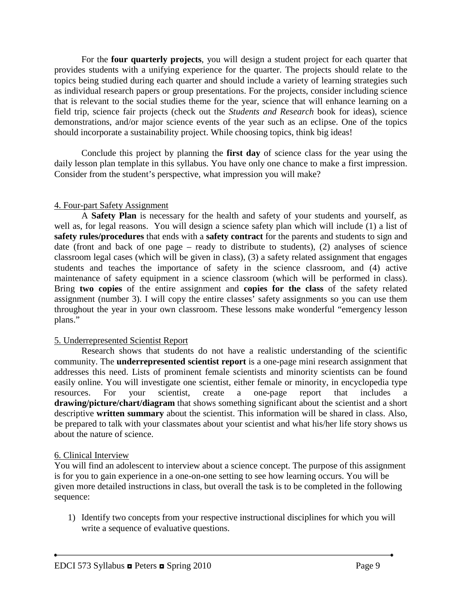For the **four quarterly projects**, you will design a student project for each quarter that provides students with a unifying experience for the quarter. The projects should relate to the topics being studied during each quarter and should include a variety of learning strategies such as individual research papers or group presentations. For the projects, consider including science that is relevant to the social studies theme for the year, science that will enhance learning on a field trip, science fair projects (check out the *Students and Research* book for ideas), science demonstrations, and/or major science events of the year such as an eclipse. One of the topics should incorporate a sustainability project. While choosing topics, think big ideas!

Conclude this project by planning the **first day** of science class for the year using the daily lesson plan template in this syllabus. You have only one chance to make a first impression. Consider from the student's perspective, what impression you will make?

#### 4. Four-part Safety Assignment

A **Safety Plan** is necessary for the health and safety of your students and yourself, as well as, for legal reasons. You will design a science safety plan which will include (1) a list of **safety rules/procedures** that ends with a **safety contract** for the parents and students to sign and date (front and back of one page – ready to distribute to students), (2) analyses of science classroom legal cases (which will be given in class), (3) a safety related assignment that engages students and teaches the importance of safety in the science classroom, and (4) active maintenance of safety equipment in a science classroom (which will be performed in class). Bring **two copies** of the entire assignment and **copies for the class** of the safety related assignment (number 3). I will copy the entire classes' safety assignments so you can use them throughout the year in your own classroom. These lessons make wonderful "emergency lesson plans."

#### 5. Underrepresented Scientist Report

Research shows that students do not have a realistic understanding of the scientific community. The **underrepresented scientist report** is a one-page mini research assignment that addresses this need. Lists of prominent female scientists and minority scientists can be found easily online. You will investigate one scientist, either female or minority, in encyclopedia type resources. For your scientist, create a one-page report that includes a **drawing/picture/chart/diagram** that shows something significant about the scientist and a short descriptive **written summary** about the scientist. This information will be shared in class. Also, be prepared to talk with your classmates about your scientist and what his/her life story shows us about the nature of science.

#### 6. Clinical Interview

You will find an adolescent to interview about a science concept. The purpose of this assignment is for you to gain experience in a one-on-one setting to see how learning occurs. You will be given more detailed instructions in class, but overall the task is to be completed in the following sequence:

1) Identify two concepts from your respective instructional disciplines for which you will write a sequence of evaluative questions.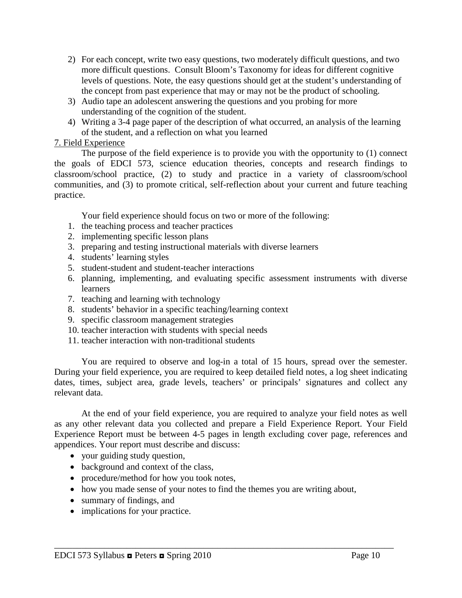- 2) For each concept, write two easy questions, two moderately difficult questions, and two more difficult questions. Consult Bloom's Taxonomy for ideas for different cognitive levels of questions. Note, the easy questions should get at the student's understanding of the concept from past experience that may or may not be the product of schooling.
- 3) Audio tape an adolescent answering the questions and you probing for more understanding of the cognition of the student.
- 4) Writing a 3-4 page paper of the description of what occurred, an analysis of the learning of the student, and a reflection on what you learned

### 7. Field Experience

The purpose of the field experience is to provide you with the opportunity to (1) connect the goals of EDCI 573, science education theories, concepts and research findings to classroom/school practice, (2) to study and practice in a variety of classroom/school communities, and (3) to promote critical, self-reflection about your current and future teaching practice.

Your field experience should focus on two or more of the following:

- 1. the teaching process and teacher practices
- 2. implementing specific lesson plans
- 3. preparing and testing instructional materials with diverse learners
- 4. students' learning styles
- 5. student-student and student-teacher interactions
- 6. planning, implementing, and evaluating specific assessment instruments with diverse learners
- 7. teaching and learning with technology
- 8. students' behavior in a specific teaching/learning context
- 9. specific classroom management strategies
- 10. teacher interaction with students with special needs
- 11. teacher interaction with non-traditional students

You are required to observe and log-in a total of 15 hours, spread over the semester. During your field experience, you are required to keep detailed field notes, a log sheet indicating dates, times, subject area, grade levels, teachers' or principals' signatures and collect any relevant data.

At the end of your field experience, you are required to analyze your field notes as well as any other relevant data you collected and prepare a Field Experience Report. Your Field Experience Report must be between 4-5 pages in length excluding cover page, references and appendices. Your report must describe and discuss:

- your guiding study question,
- background and context of the class,
- procedure/method for how you took notes,
- how you made sense of your notes to find the themes you are writing about,

- summary of findings, and
- implications for your practice.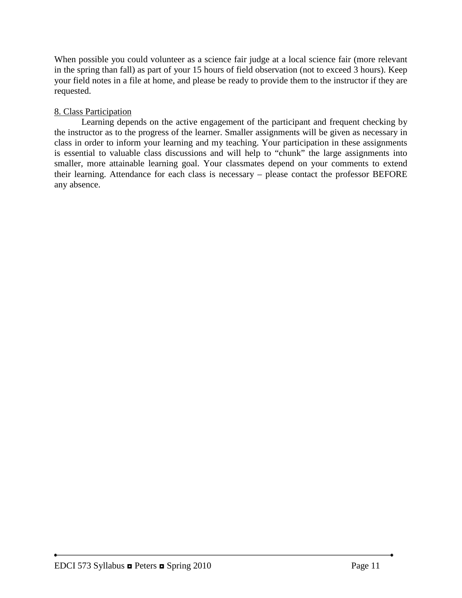When possible you could volunteer as a science fair judge at a local science fair (more relevant in the spring than fall) as part of your 15 hours of field observation (not to exceed 3 hours). Keep your field notes in a file at home, and please be ready to provide them to the instructor if they are requested.

## 8. Class Participation

Learning depends on the active engagement of the participant and frequent checking by the instructor as to the progress of the learner. Smaller assignments will be given as necessary in class in order to inform your learning and my teaching. Your participation in these assignments is essential to valuable class discussions and will help to "chunk" the large assignments into smaller, more attainable learning goal. Your classmates depend on your comments to extend their learning. Attendance for each class is necessary – please contact the professor BEFORE any absence.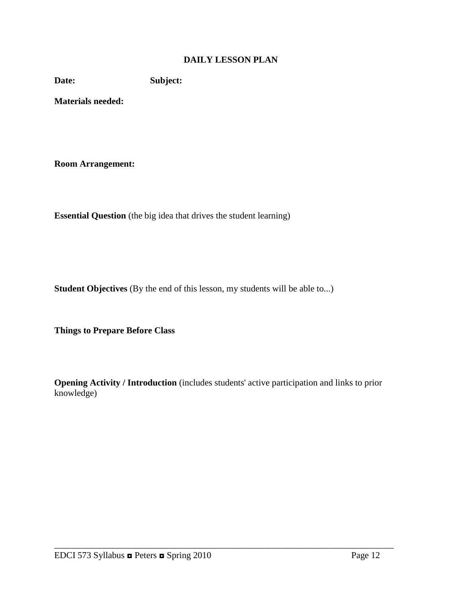#### **DAILY LESSON PLAN**

**Date: Subject:**

**Materials needed:** 

**Room Arrangement:**

**Essential Question** (the big idea that drives the student learning)

**Student Objectives** (By the end of this lesson, my students will be able to...)

**Things to Prepare Before Class**

**Opening Activity / Introduction** (includes students' active participation and links to prior knowledge)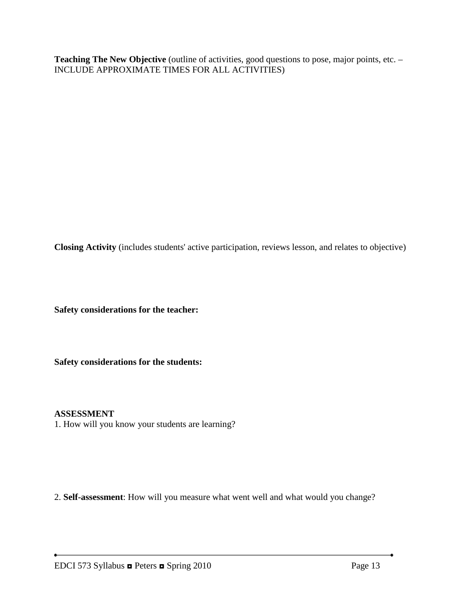Teaching The New Objective (outline of activities, good questions to pose, major points, etc. – INCLUDE APPROXIMATE TIMES FOR ALL ACTIVITIES)

**Closing Activity** (includes students' active participation, reviews lesson, and relates to objective)

**Safety considerations for the teacher:** 

**Safety considerations for the students:**

#### **ASSESSMENT**

1. How will you know your students are learning?

2. **Self-assessment**: How will you measure what went well and what would you change?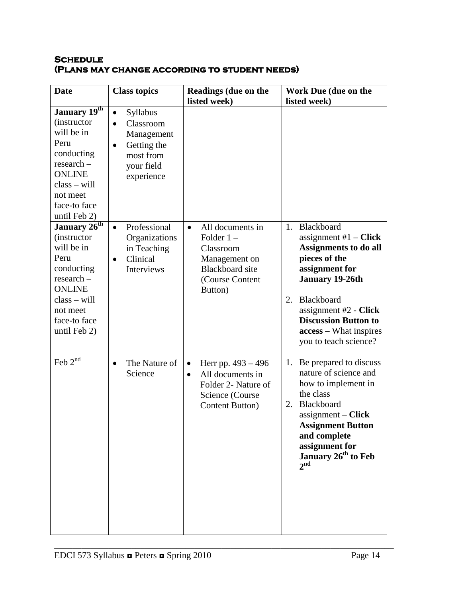### **Schedule (Plans may change according to student needs)**

| <b>Date</b>                                                                                                                                                                      | <b>Class topics</b>                                                                                                                       | Readings (due on the<br>listed week)                                                                                                   | Work Due (due on the<br>listed week)                                                                                                                                                                                                                                   |
|----------------------------------------------------------------------------------------------------------------------------------------------------------------------------------|-------------------------------------------------------------------------------------------------------------------------------------------|----------------------------------------------------------------------------------------------------------------------------------------|------------------------------------------------------------------------------------------------------------------------------------------------------------------------------------------------------------------------------------------------------------------------|
| January 19th<br><i>(instructor)</i><br>will be in<br>Peru<br>conducting<br>$research -$<br><b>ONLINE</b><br>$class - will$<br>not meet<br>face-to face<br>until Feb 2)           | <b>Syllabus</b><br>$\bullet$<br>Classroom<br>$\bullet$<br>Management<br>Getting the<br>$\bullet$<br>most from<br>your field<br>experience |                                                                                                                                        |                                                                                                                                                                                                                                                                        |
| January 26 <sup>th</sup><br><i>(instructor)</i><br>will be in<br>Peru<br>conducting<br>research -<br><b>ONLINE</b><br>$class - will$<br>not meet<br>face-to face<br>until Feb 2) | Professional<br>$\bullet$<br>Organizations<br>in Teaching<br>Clinical<br>$\bullet$<br>Interviews                                          | All documents in<br>$\bullet$<br>Folder $1 -$<br>Classroom<br>Management on<br><b>Blackboard</b> site<br>(Course Content<br>Button)    | 1. Blackboard<br>assignment $#1 - Click$<br><b>Assignments to do all</b><br>pieces of the<br>assignment for<br>January 19-26th<br>Blackboard<br>2.<br>assignment $#2$ - Click<br><b>Discussion Button to</b><br><b>access</b> – What inspires<br>you to teach science? |
| Feb $2^{nd}$                                                                                                                                                                     | The Nature of<br>$\bullet$<br>Science                                                                                                     | Herr pp. 493 – 496<br>$\bullet$<br>All documents in<br>$\bullet$<br>Folder 2- Nature of<br>Science (Course)<br><b>Content Button</b> ) | 1. Be prepared to discuss<br>nature of science and<br>how to implement in<br>the class<br>Blackboard<br>2.<br>$assignment - Click$<br><b>Assignment Button</b><br>and complete<br>assignment for<br>January 26 <sup>th</sup> to Feb<br>$2^{\text{nd}}$                 |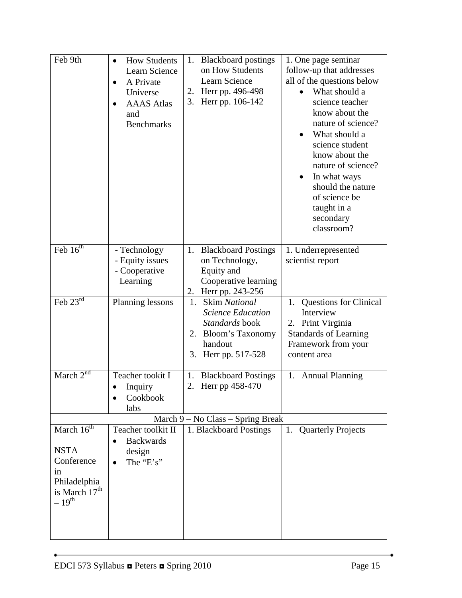| Feb 9th                                                                                                    | <b>How Students</b><br>$\bullet$<br>Learn Science<br>A Private<br>$\bullet$<br>Universe<br><b>AAAS</b> Atlas<br>and<br><b>Benchmarks</b> | 1. Blackboard postings<br>on How Students<br>Learn Science<br>2. Herr pp. 496-498<br>3.<br>Herr pp. 106-142                             | 1. One page seminar<br>follow-up that addresses<br>all of the questions below<br>What should a<br>science teacher<br>know about the<br>nature of science?<br>What should a<br>science student<br>know about the<br>nature of science?<br>In what ways<br>$\bullet$<br>should the nature<br>of science be<br>taught in a<br>secondary<br>classroom? |
|------------------------------------------------------------------------------------------------------------|------------------------------------------------------------------------------------------------------------------------------------------|-----------------------------------------------------------------------------------------------------------------------------------------|----------------------------------------------------------------------------------------------------------------------------------------------------------------------------------------------------------------------------------------------------------------------------------------------------------------------------------------------------|
| Feb $16^{th}$                                                                                              | - Technology<br>- Equity issues<br>- Cooperative<br>Learning                                                                             | 1. Blackboard Postings<br>on Technology,<br>Equity and<br>Cooperative learning<br>2. Herr pp. 243-256                                   | 1. Underrepresented<br>scientist report                                                                                                                                                                                                                                                                                                            |
| Feb $23^{rd}$                                                                                              | Planning lessons                                                                                                                         | <b>Skim National</b><br>1.<br><b>Science Education</b><br>Standards book<br>Bloom's Taxonomy<br>2.<br>handout<br>3.<br>Herr pp. 517-528 | Questions for Clinical<br>1.<br>Interview<br>2. Print Virginia<br><b>Standards of Learning</b><br>Framework from your<br>content area                                                                                                                                                                                                              |
| March $2^{nd}$                                                                                             | Teacher tookit I<br>Inquiry<br>$\bullet$<br>Cookbook<br>labs                                                                             | <b>Blackboard Postings</b><br>1.<br>2.<br>Herr pp 458-470                                                                               | 1. Annual Planning                                                                                                                                                                                                                                                                                                                                 |
|                                                                                                            |                                                                                                                                          | March 9 - No Class - Spring Break                                                                                                       |                                                                                                                                                                                                                                                                                                                                                    |
| March $16th$<br><b>NSTA</b><br>Conference<br>in<br>Philadelphia<br>is March 17 <sup>th</sup><br>$-19^{th}$ | Teacher toolkit II<br><b>Backwards</b><br>$\bullet$<br>design<br>The "E's"<br>$\bullet$                                                  | 1. Blackboard Postings                                                                                                                  | <b>Quarterly Projects</b><br>1.                                                                                                                                                                                                                                                                                                                    |

 $\bullet$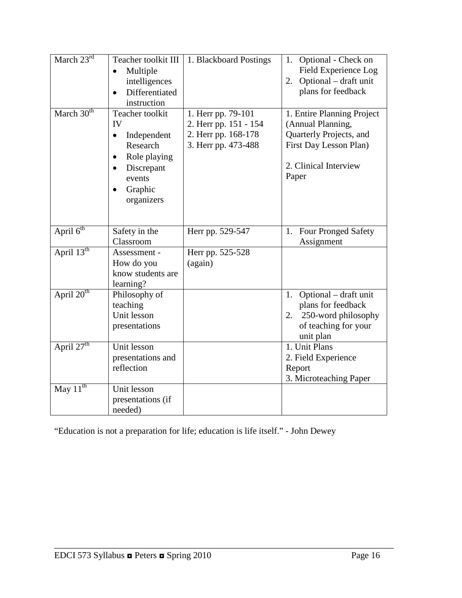| March $23^{\text{rd}}$ | Teacher toolkit III<br>Multiple<br>$\bullet$<br>intelligences<br>Differentiated<br>$\bullet$<br>instruction                                                           | 1. Blackboard Postings                                                                    | 1. Optional - Check on<br>Field Experience Log<br>Optional - draft unit<br>2.<br>plans for feedback                                    |
|------------------------|-----------------------------------------------------------------------------------------------------------------------------------------------------------------------|-------------------------------------------------------------------------------------------|----------------------------------------------------------------------------------------------------------------------------------------|
| March $30th$           | Teacher toolkit<br>IV<br>Independent<br>$\bullet$<br>Research<br>Role playing<br>$\bullet$<br>Discrepant<br>$\bullet$<br>events<br>Graphic<br>$\bullet$<br>organizers | 1. Herr pp. 79-101<br>2. Herr pp. 151 - 154<br>2. Herr pp. 168-178<br>3. Herr pp. 473-488 | 1. Entire Planning Project<br>(Annual Planning,<br>Quarterly Projects, and<br>First Day Lesson Plan)<br>2. Clinical Interview<br>Paper |
| April 6 <sup>th</sup>  | Safety in the<br>Classroom                                                                                                                                            | Herr pp. 529-547                                                                          | <b>Four Pronged Safety</b><br>1.<br>Assignment                                                                                         |
| April $13^{th}$        | Assessment -<br>How do you<br>know students are<br>learning?                                                                                                          | Herr pp. 525-528<br>(again)                                                               |                                                                                                                                        |
| April 20 <sup>th</sup> | Philosophy of<br>teaching<br>Unit lesson<br>presentations                                                                                                             |                                                                                           | 1. Optional – draft unit<br>plans for feedback<br>250-word philosophy<br>2.<br>of teaching for your<br>unit plan                       |
| April 27 <sup>th</sup> | Unit lesson<br>presentations and<br>reflection                                                                                                                        |                                                                                           | $\overline{1}$ . Unit Plans<br>2. Field Experience<br>Report<br>3. Microteaching Paper                                                 |
| May $11^{th}$          | Unit lesson<br>presentations (if<br>needed)                                                                                                                           |                                                                                           |                                                                                                                                        |

"Education is not a preparation for life; education is life itself." - John Dewey